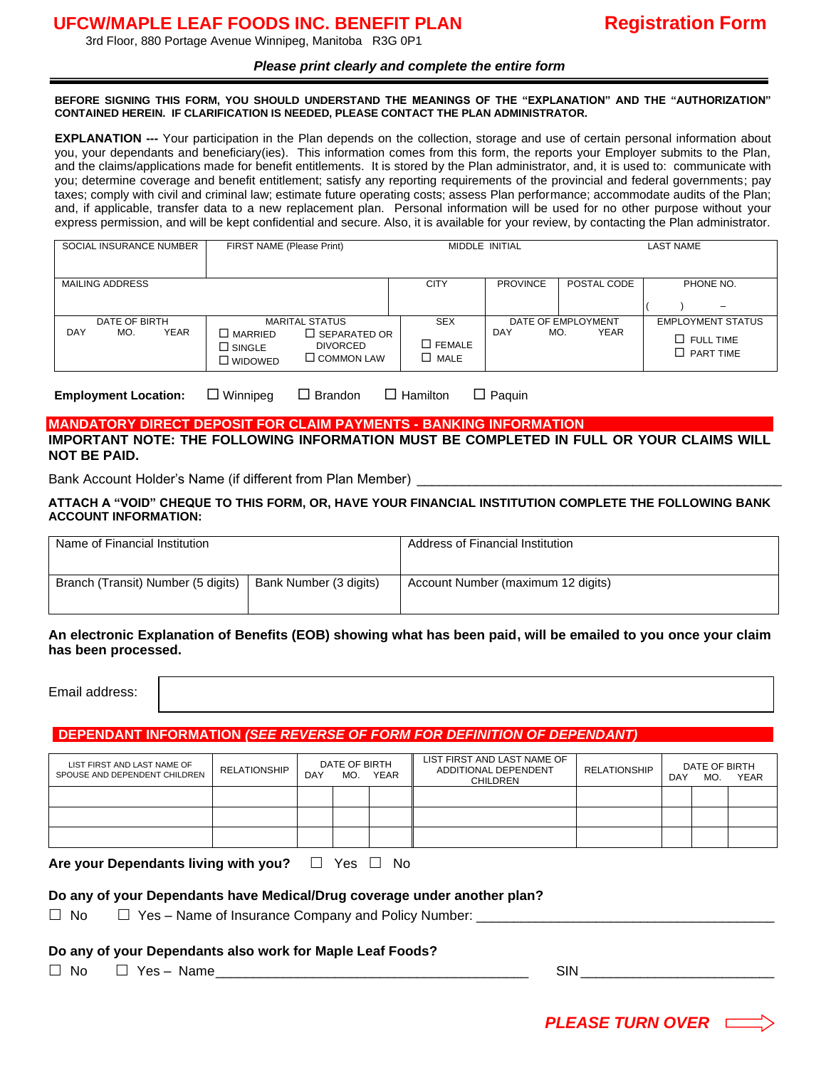# **UFCW/MAPLE LEAF FOODS INC. BENEFIT PLAN Registration Form**

3rd Floor, 880 Portage Avenue Winnipeg, Manitoba R3G 0P1

### *Please print clearly and complete the entire form*

#### **BEFORE SIGNING THIS FORM, YOU SHOULD UNDERSTAND THE MEANINGS OF THE "EXPLANATION" AND THE "AUTHORIZATION" CONTAINED HEREIN. IF CLARIFICATION IS NEEDED, PLEASE CONTACT THE PLAN ADMINISTRATOR.**

**EXPLANATION ---** Your participation in the Plan depends on the collection, storage and use of certain personal information about you, your dependants and beneficiary(ies). This information comes from this form, the reports your Employer submits to the Plan, and the claims/applications made for benefit entitlements. It is stored by the Plan administrator, and, it is used to: communicate with you; determine coverage and benefit entitlement; satisfy any reporting requirements of the provincial and federal governments; pay taxes; comply with civil and criminal law; estimate future operating costs; assess Plan performance; accommodate audits of the Plan; and, if applicable, transfer data to a new replacement plan. Personal information will be used for no other purpose without your express permission, and will be kept confidential and secure. Also, it is available for your review, by contacting the Plan administrator.

| SOCIAL INSURANCE NUMBER<br>FIRST NAME (Please Print) |                      |             |                                                            |                                                                                      |                                                  | MIDDLE INITIAL  |                                   | <b>LAST NAME</b>                                                 |  |  |
|------------------------------------------------------|----------------------|-------------|------------------------------------------------------------|--------------------------------------------------------------------------------------|--------------------------------------------------|-----------------|-----------------------------------|------------------------------------------------------------------|--|--|
|                                                      | MAILING ADDRESS      |             |                                                            |                                                                                      | <b>CITY</b>                                      | <b>PROVINCE</b> | POSTAL CODE                       | PHONE NO.<br>$\overline{\phantom{0}}$                            |  |  |
| DAY                                                  | DATE OF BIRTH<br>MO. | <b>YEAR</b> | $\square$ MARRIED<br>$\square$ SINGLE<br>$\square$ widowed | <b>MARITAL STATUS</b><br>$\Box$ SEPARATED OR<br><b>DIVORCED</b><br>$\Box$ COMMON LAW | <b>SEX</b><br>$\square$ FEMALE<br>$\square$ MALE | DAY<br>MO.      | DATE OF EMPLOYMENT<br><b>YEAR</b> | <b>EMPLOYMENT STATUS</b><br>$\Box$ FULL TIME<br>$\Box$ PART TIME |  |  |

**Employment Location:** □ Winnipeg □ Brandon □ Hamilton □ Paquin

### **MANDATORY DIRECT DEPOSIT FOR CLAIM PAYMENTS - BANKING INFORMATION IMPORTANT NOTE: THE FOLLOWING INFORMATION MUST BE COMPLETED IN FULL OR YOUR CLAIMS WILL NOT BE PAID.**

Bank Account Holder's Name (if different from Plan Member)

### **ATTACH A "VOID" CHEQUE TO THIS FORM, OR, HAVE YOUR FINANCIAL INSTITUTION COMPLETE THE FOLLOWING BANK ACCOUNT INFORMATION:**

| Name of Financial Institution      |                        | Address of Financial Institution   |  |  |
|------------------------------------|------------------------|------------------------------------|--|--|
| Branch (Transit) Number (5 digits) | Bank Number (3 digits) | Account Number (maximum 12 digits) |  |  |

### **An electronic Explanation of Benefits (EOB) showing what has been paid, will be emailed to you once your claim has been processed.**

Email address:

## **DEPENDANT INFORMATION** *(SEE REVERSE OF FORM FOR DEFINITION OF DEPENDANT)*

| LIST FIRST AND LAST NAME OF<br>SPOUSE AND DEPENDENT CHILDREN | <b>RELATIONSHIP</b> | DAY | DATE OF BIRTH<br>MO. | YEAR | LIST FIRST AND LAST NAME OF<br>ADDITIONAL DEPENDENT<br><b>CHILDREN</b> | <b>RELATIONSHIP</b> | DAY | DATE OF BIRTH<br>MO. | <b>YEAR</b> |
|--------------------------------------------------------------|---------------------|-----|----------------------|------|------------------------------------------------------------------------|---------------------|-----|----------------------|-------------|
|                                                              |                     |     |                      |      |                                                                        |                     |     |                      |             |
|                                                              |                     |     |                      |      |                                                                        |                     |     |                      |             |
|                                                              |                     |     |                      |      |                                                                        |                     |     |                      |             |

**Are your Dependants living with you?**  $\Box$  Yes  $\Box$  No

### **Do any of your Dependants have Medical/Drug coverage under another plan?**

 $\Box$  No  $\Box$  Yes – Name of Insurance Company and Policy Number:  $\Box$ 

### **Do any of your Dependants also work for Maple Leaf Foods?**

 $\Box$  No  $\Box$  Yes – Name  $\Box$ 

 *PLEASE TURN OVER*